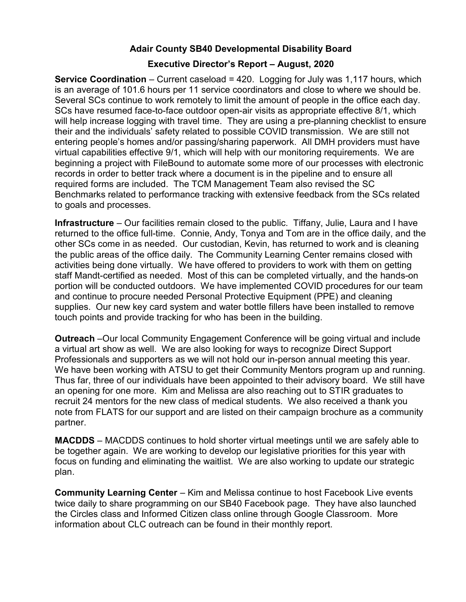## Adair County SB40 Developmental Disability Board

## Executive Director's Report – August, 2020

**Service Coordination** – Current caseload  $= 420$ . Logging for July was 1,117 hours, which is an average of 101.6 hours per 11 service coordinators and close to where we should be. Several SCs continue to work remotely to limit the amount of people in the office each day. SCs have resumed face-to-face outdoor open-air visits as appropriate effective 8/1, which will help increase logging with travel time. They are using a pre-planning checklist to ensure their and the individuals' safety related to possible COVID transmission. We are still not entering people's homes and/or passing/sharing paperwork. All DMH providers must have virtual capabilities effective 9/1, which will help with our monitoring requirements. We are beginning a project with FileBound to automate some more of our processes with electronic records in order to better track where a document is in the pipeline and to ensure all required forms are included. The TCM Management Team also revised the SC Benchmarks related to performance tracking with extensive feedback from the SCs related to goals and processes.

Infrastructure – Our facilities remain closed to the public. Tiffany, Julie, Laura and I have returned to the office full-time. Connie, Andy, Tonya and Tom are in the office daily, and the other SCs come in as needed. Our custodian, Kevin, has returned to work and is cleaning the public areas of the office daily. The Community Learning Center remains closed with activities being done virtually. We have offered to providers to work with them on getting staff Mandt-certified as needed. Most of this can be completed virtually, and the hands-on portion will be conducted outdoors. We have implemented COVID procedures for our team and continue to procure needed Personal Protective Equipment (PPE) and cleaning supplies. Our new key card system and water bottle fillers have been installed to remove touch points and provide tracking for who has been in the building.

Outreach –Our local Community Engagement Conference will be going virtual and include a virtual art show as well. We are also looking for ways to recognize Direct Support Professionals and supporters as we will not hold our in-person annual meeting this year. We have been working with ATSU to get their Community Mentors program up and running. Thus far, three of our individuals have been appointed to their advisory board. We still have an opening for one more. Kim and Melissa are also reaching out to STIR graduates to recruit 24 mentors for the new class of medical students. We also received a thank you note from FLATS for our support and are listed on their campaign brochure as a community partner.

MACDDS – MACDDS continues to hold shorter virtual meetings until we are safely able to be together again. We are working to develop our legislative priorities for this year with focus on funding and eliminating the waitlist. We are also working to update our strategic plan.

Community Learning Center – Kim and Melissa continue to host Facebook Live events twice daily to share programming on our SB40 Facebook page. They have also launched the Circles class and Informed Citizen class online through Google Classroom. More information about CLC outreach can be found in their monthly report.